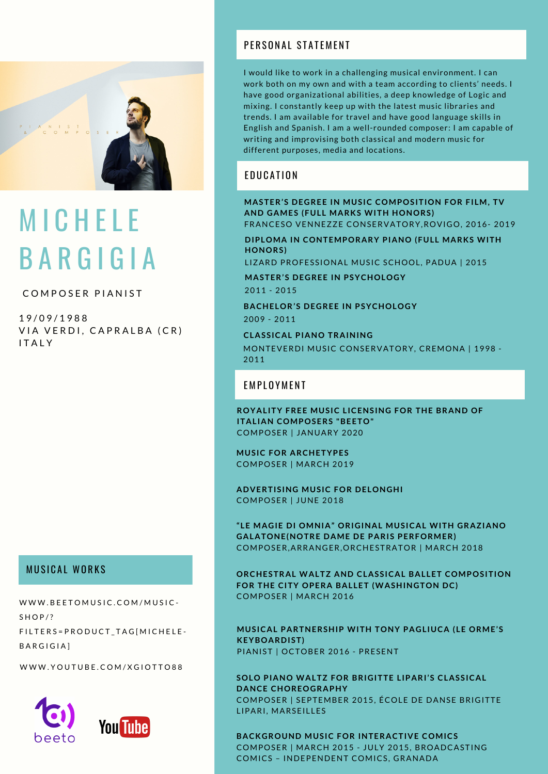

# **MICHELE** B A R G I G I A

### COMPOSER PIANIST

1 9 / 0 9 / 1 9 8 8 VIA VERDI, CAPRALBA (CR) **ITALY** 

### **MUSICAL WORKS**

[W](https://soundcloud.com/michele-bargigia)WW.BEETOMUSIC.COM/MUSIC- $S H O P$  / ? FILTERS = PRODUCT\_TAG[MICHELE-B A R G I G I A ]

[W](https://www.youtube.com/user/xgiotto88/videos)WW.YOUTUBE.COM/XGIOTTO88





### PFRSONAL STATEMENT

I would like to work in a challenging musical environment. I can work both on my own and with a team according to clients' needs. I have good organizational abilities, a deep knowledge of Logic and mixing. I constantly keep up with the latest music libraries and trends. I am available for travel and have good language skills in English and Spanish. I am a well-rounded composer: I am capable of writing and improvising both classical and modern music for different purposes, media and locations.

### **EDUCATION**

**MASTER'S DEGREE IN MUSIC COMPOSITION FOR FILM, TV AND GAMES (FULL MARKS WITH HONORS)** FRANCESO VENNEZZE CONSERVATORY,ROVIGO, 2016- 2019

**DIPLOMA IN CONTEMPORARY PIANO (FULL MARKS WITH HONORS)**

LIZARD PROFESSIONAL MUSIC SCHOOL, PADUA | 2015

2011 - 2015 **MASTER'S DEGREE IN PSYCHOLOGY**

2009 - 2011 **BACHELOR'S DEGREE IN PSYCHOLOGY**

MONTEVERDI MUSIC CONSERVATORY, CREMONA | 1998 - 2011 **CLASSICAL PIANO TRAINING**

#### **FMPI NYMFNT**

**ROYALITY FREE MUSIC LICENSING FOR THE BRAND OF ITALIAN COMPOSERS "BEETO"** COMPOSER | JANUARY 2020

**MUSIC FOR ARCHETYPES** COMPOSER | MARCH 2019

**ADVERTISING MUSIC FOR DELONGHI** COMPOSER | JUNE 2018

**"LE MAGIE DI OMNIA" ORIGINAL MUSICAL WITH GRAZIANO GALATONE(NOTRE DAME DE PARIS PERFORMER)** COMPOSER,ARRANGER,ORCHESTRATOR | MARCH 2018

**ORCHESTRAL WALTZ AND CLASSICAL BALLET COMPOSITION FOR THE CITY OPERA BALLET (WASHINGTON DC)** COMPOSER | MARCH 2016

**MUSICAL PARTNERSHIP WITH TONY PAGLIUCA (LE ORME'S KEYBOARDIST)** PIANIST | OCTOBER 2016 - PRESENT

**SOLO PIANO WALTZ FOR BRIGITTE LIPARI'S CLASSICAL DANCE CHOREOGRAPHY** COMPOSER | SEPTEMBER 2015, ÉCOLE DE DANSE BRIGITTE LIPARI, MARSEILLES

**BACKGROUND MUSIC FOR INTERACTIVE COMICS** COMPOSER | MARCH 2015 - JULY 2015, BROADCASTING COMICS – INDEPENDENT COMICS, GRANADA